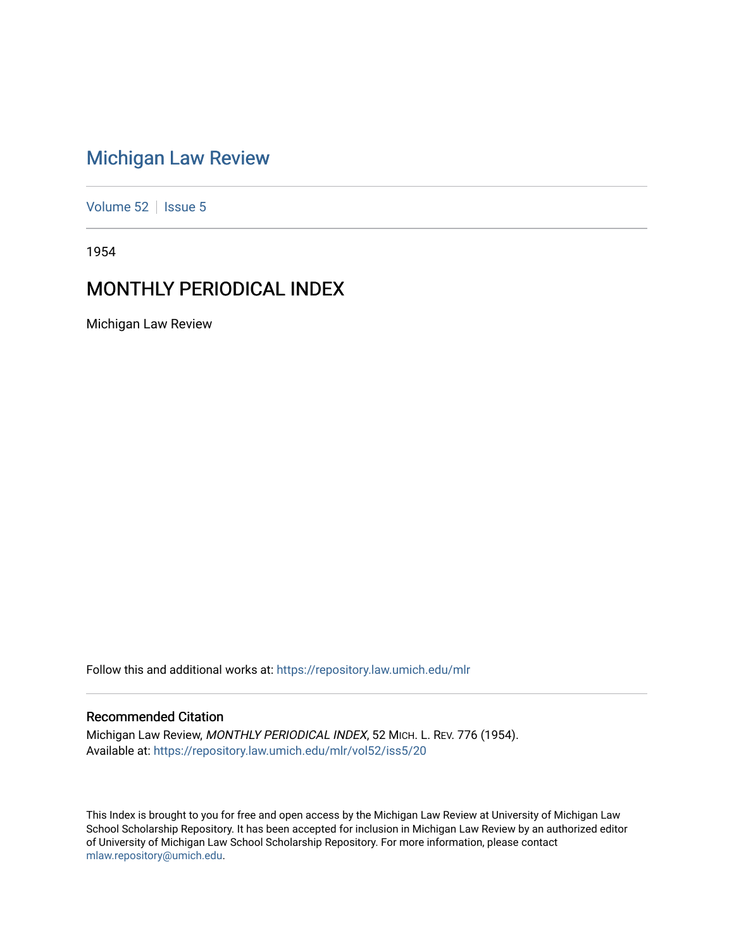# [Michigan Law Review](https://repository.law.umich.edu/mlr)

[Volume 52](https://repository.law.umich.edu/mlr/vol52) | [Issue 5](https://repository.law.umich.edu/mlr/vol52/iss5)

1954

# MONTHLY PERIODICAL INDEX

Michigan Law Review

Follow this and additional works at: [https://repository.law.umich.edu/mlr](https://repository.law.umich.edu/mlr?utm_source=repository.law.umich.edu%2Fmlr%2Fvol52%2Fiss5%2F20&utm_medium=PDF&utm_campaign=PDFCoverPages) 

# Recommended Citation

Michigan Law Review, MONTHLY PERIODICAL INDEX, 52 MICH. L. REV. 776 (1954). Available at: [https://repository.law.umich.edu/mlr/vol52/iss5/20](https://repository.law.umich.edu/mlr/vol52/iss5/20?utm_source=repository.law.umich.edu%2Fmlr%2Fvol52%2Fiss5%2F20&utm_medium=PDF&utm_campaign=PDFCoverPages) 

This Index is brought to you for free and open access by the Michigan Law Review at University of Michigan Law School Scholarship Repository. It has been accepted for inclusion in Michigan Law Review by an authorized editor of University of Michigan Law School Scholarship Repository. For more information, please contact [mlaw.repository@umich.edu.](mailto:mlaw.repository@umich.edu)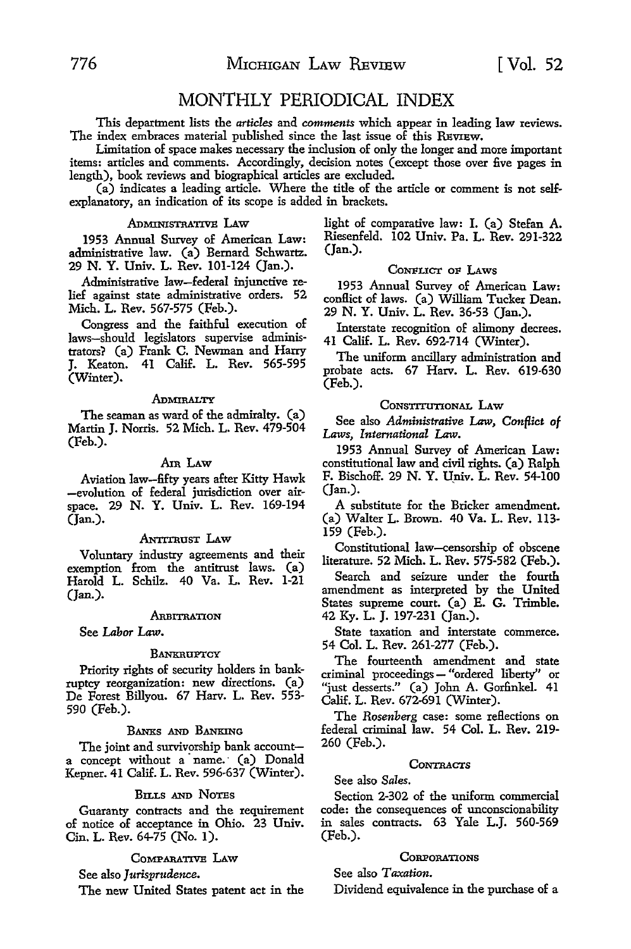# MONTHLY PERIODICAL INDEX

This department lists the *articles* and *comments* which appear in leading law reviews. The index embraces material published since the last issue of this REVIEW.

Limitation of space makes necessary the inclusion of only the longer and more important items: articles and comments. Accordingly, decision notes (except those over five pages in length), book reviews and biographical articles are excluded.

(a) indicates a leading article. Where the title of the article or comment is not self. explanatory, an indication of its scope is added in brackets.

# ADMINISTRATIVE LAW

1953 Annual Survey of American Law: administrative law. (a) Bernard Schwartz. 29 N. Y. Univ. L. Rev. 101-124 (Jan.).

Administrative law-federal injunctive relief against state administrative orders. 52 Mich. L. Rev. 567-575 (Feb.).

Congress and the faithful execution of laws-should legislators supervise administrators? (a) Frank C. Newman and Harry J. Keaton. 41 Calif. L. Rev. 565-595 (Winter).

#### ADMIRALTY

The seaman as ward of the admiralty. (a) Martin J. Norris. 52 Mich. L. Rev. 479-504 (Feb.).

# Am LAW

Aviation law-fifty years after Kitty Hawk -evolution of federal jurisdiction over airspace. 29 N. Y. Univ. L. Rev. 169-194 (Jan.).

#### ANTITRUST LAW

Voluntary industry agreements and their exemption from the antitrust laws. (a) Harold L. Schilz. 40 Va. L. Rev. 1-21 (Jan.).

#### ARBITRATION

See *Labor Law.* 

#### **BANKRUPTCY**

Priority rights of security holders in bankruptcy reorganization: new directions. (a) De Forest Billyou. 67 Harv. L. Rev. 553- 590 (Feb.).

#### BANKS AND BANKING

The joint and survivorship bank accounta concept without a name. (a) Donald Kepner. 41 Calif. L. Rev. 596-637 (Winter).

#### BILLS AND NoTEs

Guaranty contracts and the requirement of notice of acceptance in Ohio. 23 Univ. Cin. L. Rev. 64-75 (No. 1).

#### COMPARATIVE LAW

See also *Jurisprudence.* 

The new United States patent act in the

light of comparative law: I. (a) Stefan A. Riesenfeld. 102 Univ. Pa. L. Rev. 291-322 (Jan.).

#### CONFLICT OF LAWS

1953 Annual Survey of American Law: conHict of laws. (a) William Tucker Dean. 29 **N. Y.** Univ. L. Rev. 36-53 (Jan.).

Interstate recognition of alimony decrees. 41 Calif. L. Rev. 692-714 (Winter).

The uniform ancillary administration and probate acts. 67 Harv. L. Rev. 619-630 (Feb.).

#### CONSTITUTIONAL LAW

See also *Administrative* Law, *Conflict of Laws, International* Law.

1953 Annual Survey of American Law: constitutional law and civil rights. (a) Ralph F. Bischoff. 29 N. Y. Univ. L. Rev. 54-100  $($ Jan. $).$ 

A substitute for the Bricker amendment. (a) Walter L. Brown. 40 Va. L. Rev. 113- 159 (Feb.).

Constitutional law-censorship of obscene literature. 52 Mich. L. Rev. 575-582 (Feb.).

Search and seizure under the fourth amendment as interpreted by the United States supreme court. (a) E. G. Trimble. 42 Ky. L. J. 197-231 (Jan.).

State taxation and interstate commerce. 54 Col. L. Rev. 261-277 (Feb.).

The fourteenth amendment and state criminal proceedings - "ordered liberty" or "just desserts." (a) John A. Gorfinkel. 41 Calif. L. Rev. 672-691 (Winter).

The *Rosenberg* case: some reflections on federal criminal law. 54 Col. L. Rev. 219- 260 (Feb.).

#### **CONTRACTS**

See also *Sales.* 

Section 2-302 of the uniform commercial code: the consequences of unconscionability in sales contracts. 63 Yale L.J. 560-569 (Feb.).

# **CORPORATIONS**

See also *Taxation.* 

Dividend equivalence in the purchase of a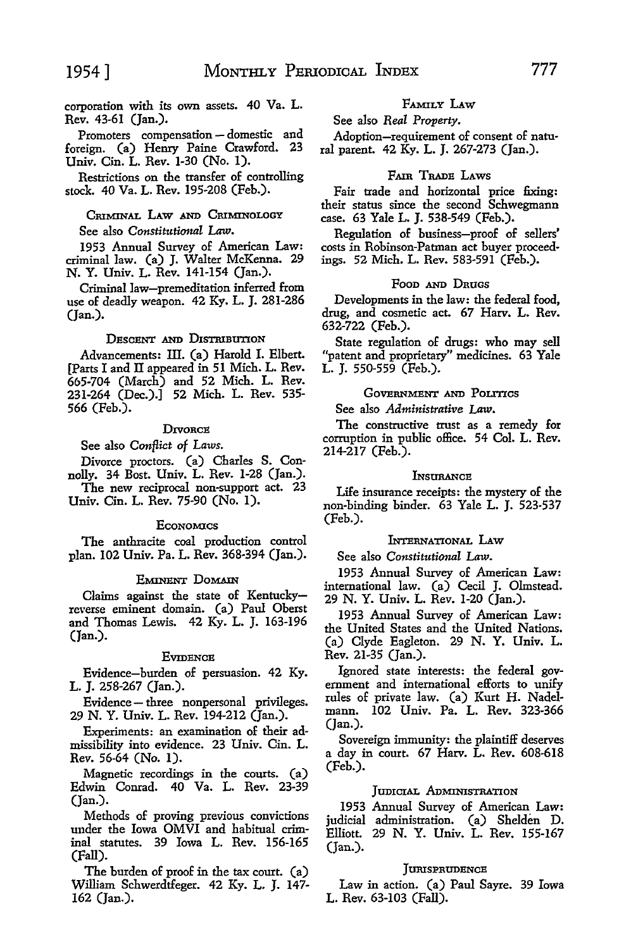corporation with its own assets. 40 Va. L. Rev. 43-61 (Jan.).

Promoters compensation - domestic and foreign. (a) Henry Paine Crawford. 23 Univ. Cin. L. Rev. 1-30 (No. I).

Restrictions on the transfer of controlling stock. 40 Va. L. Rev. 195-208 (Feb.).

# CRIMINAL LAW AND CRIMINOLOGY See also *Constitutional* Law.

1953 Annual Survey of American Law: criminal law. (a) J. Walter McKenna. 29 N. Y. Univ. L. Rev. 141-154 (Jan.).

Criminal law-premeditation inferred from use of deadly weapon. 42 Ky. L. J. 281-286 (Jan.).

#### DESCENT AND DISTRIBUTION

Advancements: III. (a) Harold I. Elbert. [Parts I and II appeared in 51 Mich. L. Rev. 665-704 (March) and 52 Mich. L. Rev. 231-264 (Dec.).] 52 Mich. L. Rev. 535- 566 (Feb.).

#### **DIVORCE**

See also *Conflict of* Laws.

Divorce proctors. (a) Charles S. Connolly. 34 Bost. Univ. L. Rev. 1-28 (Jan.).

The new reciprocal non-support act. 23 Univ. Cin. L. Rev. 75-90 (No. 1).

#### **E**conomics

The anthracite coal production control plan. 102 Univ. Pa. L. Rev. 368-394 (Jan.).

## EMINENT DOMAIN

Claims against the state of Kentuckyreverse eminent domain. (a) Paul Oberst and Thomas Lewis. 42 Ky. L. J. 163-196 (Jan.).

#### **EVIDENCE**

Evidence-burden of persuasion. 42 Ky. L. J. 258-267 (Jan.).

Evidence - three nonpersonal privileges. 29 N. Y. Univ. L. Rev. 194-212 (Jan.).

Experiments: an examination of their admissibility into evidence. 23 Univ. Cin. L. Rev. 56-64 (No. I).

Magnetic recordings in the courts. (a) Edwin Conrad. 40 Va. L. Rev. 23-39 (Jan.).

Methods of proving previous convictions under the Iowa OMVI and habitual criminal statutes. 39 Iowa L. Rev. 156-165 (Fall).

The burden of proof in the tax court. (a) William Schwerdtfeger. 42 Ky. L. J. 147- 162 (Jan.).

#### FAMILY **LAW**

See also *Real Property.* 

Adoption-requirement of consent of natural parent. 42 Ky. L. J. 267-273 (Jan.).

# FAIR TRADE LAWS

Fair trade and horizontal price fixing: their status since the second Schwegmann case. 63 Yale L. J. 538-549 (Feb.).

Regulation of business-proof of sellers' costs in Robinson-Patman act buyer proceedings. 52 Mich. L. Rev. 583-591 (Feb.).

#### Poon AND DRUGS

Developments in the law: the federal food, drug, and cosmetic act. 67 Harv. L. Rev. 632-722 (Feb.).

State regulation of drugs: who may sell "patent and proprietary" medicines. 63 Yale L. J. 550-559 (Feb.).

# GOVERNMENT AND POLITICS

See also *Administrative* Law.

The constructive trust as a remedy for corruption in public office. 54 Col. L. Rev. 214-217 (Feb.).

#### **L**NSURANCE

Life insurance receipts: the mystery of the non-binding binder. 63 Yale L. J. 523-537 (Feb.).

# INTERNATIONAL LAW

See also *Constitutional Law.* 

1953 Annual Survey of American Law: international law. (a) Cecil J. Olmstead. 29 N. Y. Univ. L. Rev. 1-20 (Jan.).

1953 Annual Survey of American Law: the United States and the United Nations. (a) Clyde Eagleton. 29 N. Y. Univ. L. Rev. 21-35 (Jan.).

Ignored state interests: the federal government and international efforts to unify rules of private law. (a) Kurt H. Nadelmann. 102 Univ. Pa. L. Rev. 323-366 (Jan.).

Sovereign immunity: the plaintiff deserves a day in court. 67 Harv. L. Rev. 608-618 (Feb.).

#### JUDICIAL ADMINISTRATION

1953 Annual Survey of American Law: judicial administration. (a) Shelden D. Elliott. 29 N. Y. Univ. L. Rev. 155-167 (Jan.).

#### **JURISPRUDENCE**

Law in action. (a) Paul Sayre. 39 Iowa L. Rev. 63-103 (Fall).